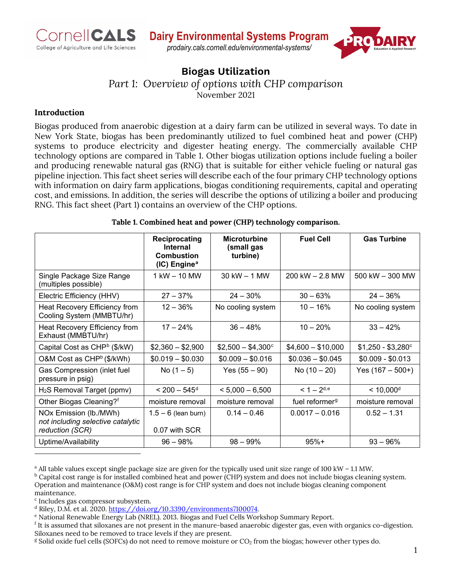



# **Biogas Utilization**

*Part 1: Overview of options with CHP comparison*

November 2021

## **Introduction**

Biogas produced from anaerobic digestion at a dairy farm can be utilized in several ways. To date in New York State, biogas has been predominantly utilized to fuel combined heat and power (CHP) systems to produce electricity and digester heating energy. The commercially available CHP technology options are compared in Table 1. Other biogas utilization options include fueling a boiler and producing renewable natural gas (RNG) that is suitable for either vehicle fueling or natural gas pipeline injection. This fact sheet series will describe each of the four primary CHP technology options with information on dairy farm applications, biogas conditioning requirements, capital and operating cost, and emissions. In addition, the series will describe the options of utilizing a boiler and producing RNG. This fact sheet (Part 1) contains an overview of the CHP options.

#### <span id="page-0-1"></span><span id="page-0-0"></span>**Table 1. Combined heat and power (CHP) technology comparison.**

|                                                                                | Reciprocating<br><b>Internal</b><br><b>Combustion</b><br>(IC) Engine <sup>a</sup> | <b>Microturbine</b><br>(small gas<br>turbine) | <b>Fuel Cell</b>           | <b>Gas Turbine</b>        |
|--------------------------------------------------------------------------------|-----------------------------------------------------------------------------------|-----------------------------------------------|----------------------------|---------------------------|
| Single Package Size Range<br>(multiples possible)                              | 1 kW - 10 MW                                                                      | $30$ kW $-$ 1 MW                              | 200 kW $-$ 2.8 MW          | 500 kW - 300 MW           |
| Electric Efficiency (HHV)                                                      | $27 - 37%$                                                                        | $24 - 30\%$                                   | $30 - 63%$                 | $24 - 36\%$               |
| Heat Recovery Efficiency from<br>Cooling System (MMBTU/hr)                     | $12 - 36%$                                                                        | No cooling system                             | $10 - 16%$                 | No cooling system         |
| Heat Recovery Efficiency from<br>Exhaust (MMBTU/hr)                            | $17 - 24%$                                                                        | $36 - 48%$                                    | $10 - 20%$                 | $33 - 42%$                |
| Capital Cost as CHP <sup>b</sup> (\$/kW)                                       | $$2,360 - $2,900$                                                                 | $$2,500 - $4,300^{\circ}$$                    | $$4,600 - $10,000$         | $$1,250 - $3,280^{\circ}$ |
| O&M Cost as CHP <sup>b</sup> (\$/kWh)                                          | $$0.019 - $0.030$                                                                 | $$0.009 - $0.016$                             | $$0.036 - $0.045$          | $$0.009 - $0.013$         |
| Gas Compression (inlet fuel<br>pressure in psig)                               | No $(1 - 5)$                                                                      | Yes $(55 - 90)$                               | No $(10 - 20)$             | Yes $(167 - 500+)$        |
| $H2S$ Removal Target (ppmv)                                                    | $< 200 - 545$ <sup>d</sup>                                                        | $< 5,000 - 6,500$                             | $< 1 - 2^{d,e}$            | $< 10,000$ <sup>d</sup>   |
| Other Biogas Cleaning?f                                                        | moisture removal                                                                  | moisture removal                              | fuel reformer <sup>g</sup> | moisture removal          |
| NOx Emission (lb./MWh)<br>not including selective catalytic<br>reduction (SCR) | $1.5 - 6$ (lean burn)<br>0.07 with SCR                                            | $0.14 - 0.46$                                 | $0.0017 - 0.016$           | $0.52 - 1.31$             |
| Uptime/Availability                                                            | $96 - 98%$                                                                        | $98 - 99\%$                                   | $95%+$                     | $93 - 96%$                |

<span id="page-0-3"></span><span id="page-0-2"></span><sup>a</sup> All table values except single package size are given for the typically used unit size range of 100 kW – 1.1 MW.

<span id="page-0-4"></span> $b$  Capital cost range is for installed combined heat and power (CHP) system and does not include biogas cleaning system. Operation and maintenance (O&M) cost range is for CHP system and does not include biogas cleaning component maintenance.

<span id="page-0-5"></span><sup>c</sup> Includes gas compressor subsystem.<br><sup>d</sup> Riley, D.M. et al. 2020. <u>https://doi.org/10.3390/environments7100074</u>.

<span id="page-0-7"></span><span id="page-0-6"></span> $e$  National Renewable Energy Lab (NREL). 2013. Biogas and Fuel Cells Workshop Summary Report.

<span id="page-0-8"></span> $<sup>f</sup>$  It is assumed that siloxanes are not present in the manure-based anaerobic digester gas, even with organics co-digestion.</sup> Siloxanes need to be removed to trace levels if they are present.

<span id="page-0-9"></span> $\frac{g}{g}$  Solid oxide fuel cells (SOFCs) do not need to remove moisture or CO<sub>2</sub> from the biogas; however other types do.